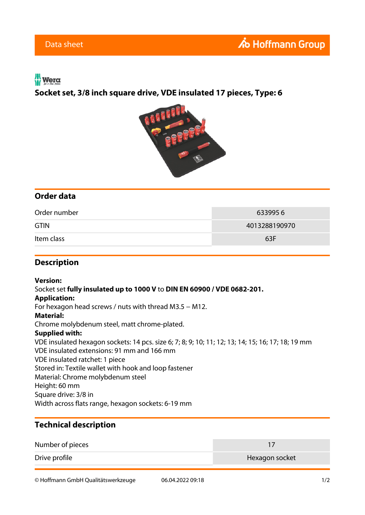## $w$  Wera

**Socket set, 3/8 inch square drive, VDE insulated 17 pieces, Type: 6**



# **Order data**

| Order number | 6339956       |
|--------------|---------------|
| <b>GTIN</b>  | 4013288190970 |
| Item class   | 63F           |

### **Description**

#### **Version:**

Socket set **fully insulated up to 1000 V** to **DIN EN 60900 / VDE 0682-201.**

#### **Application:**

For hexagon head screws / nuts with thread M3.5 − M12.

#### **Material:**

Chrome molybdenum steel, matt chrome-plated.

#### **Supplied with:**

VDE insulated hexagon sockets: 14 pcs. size 6; 7; 8; 9; 10; 11; 12; 13; 14; 15; 16; 17; 18; 19 mm VDE insulated extensions: 91 mm and 166 mm VDE insulated ratchet: 1 piece Stored in: Textile wallet with hook and loop fastener Material: Chrome molybdenum steel Height: 60 mm Square drive: 3/8 in Width across flats range, hexagon sockets: 6-19 mm

### **Technical description**

| Number of pieces |                |
|------------------|----------------|
| Drive profile    | Hexagon socket |

© Hoffmann GmbH Qualitätswerkzeuge 06.04.2022 09:18 1/2